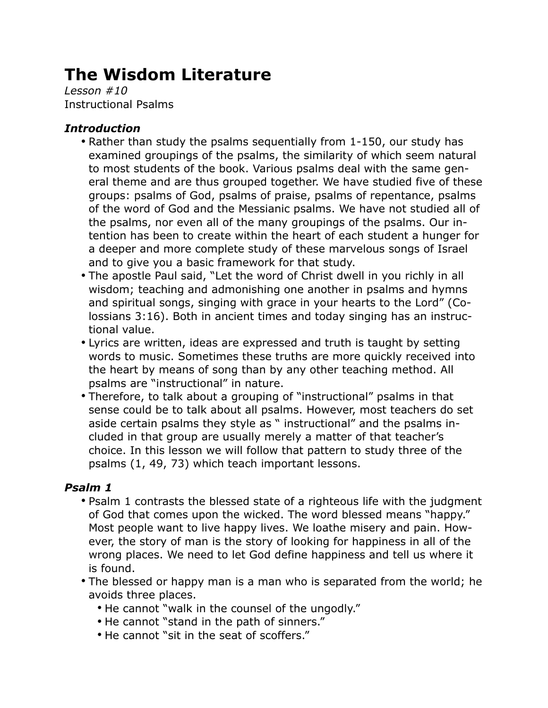# **The Wisdom Literature**

*Lesson #10* Instructional Psalms

## *Introduction*

- Rather than study the psalms sequentially from 1-150, our study has examined groupings of the psalms, the similarity of which seem natural to most students of the book. Various psalms deal with the same general theme and are thus grouped together. We have studied five of these groups: psalms of God, psalms of praise, psalms of repentance, psalms of the word of God and the Messianic psalms. We have not studied all of the psalms, nor even all of the many groupings of the psalms. Our intention has been to create within the heart of each student a hunger for a deeper and more complete study of these marvelous songs of Israel and to give you a basic framework for that study.
- The apostle Paul said, "Let the word of Christ dwell in you richly in all wisdom; teaching and admonishing one another in psalms and hymns and spiritual songs, singing with grace in your hearts to the Lord" (Colossians 3:16). Both in ancient times and today singing has an instructional value.
- Lyrics are written, ideas are expressed and truth is taught by setting words to music. Sometimes these truths are more quickly received into the heart by means of song than by any other teaching method. All psalms are "instructional" in nature.
- Therefore, to talk about a grouping of "instructional" psalms in that sense could be to talk about all psalms. However, most teachers do set aside certain psalms they style as " instructional" and the psalms included in that group are usually merely a matter of that teacher's choice. In this lesson we will follow that pattern to study three of the psalms (1, 49, 73) which teach important lessons.

### *Psalm 1*

- Psalm 1 contrasts the blessed state of a righteous life with the judgment of God that comes upon the wicked. The word blessed means "happy." Most people want to live happy lives. We loathe misery and pain. However, the story of man is the story of looking for happiness in all of the wrong places. We need to let God define happiness and tell us where it is found.
- The blessed or happy man is a man who is separated from the world; he avoids three places.
	- He cannot "walk in the counsel of the ungodly."
	- He cannot "stand in the path of sinners."
	- He cannot "sit in the seat of scoffers."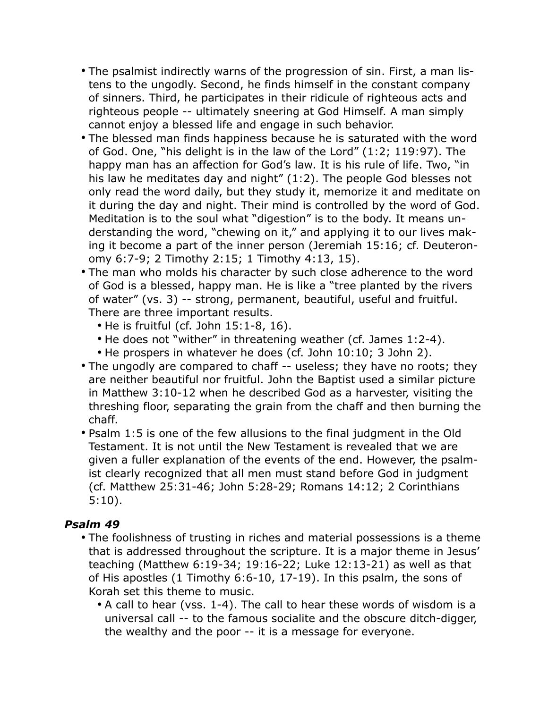- The psalmist indirectly warns of the progression of sin. First, a man listens to the ungodly. Second, he finds himself in the constant company of sinners. Third, he participates in their ridicule of righteous acts and righteous people -- ultimately sneering at God Himself. A man simply cannot enjoy a blessed life and engage in such behavior.
- The blessed man finds happiness because he is saturated with the word of God. One, "his delight is in the law of the Lord" (1:2; 119:97). The happy man has an affection for God's law. It is his rule of life. Two, "in his law he meditates day and night" (1:2). The people God blesses not only read the word daily, but they study it, memorize it and meditate on it during the day and night. Their mind is controlled by the word of God. Meditation is to the soul what "digestion" is to the body. It means understanding the word, "chewing on it," and applying it to our lives making it become a part of the inner person (Jeremiah 15:16; cf. Deuteronomy 6:7-9; 2 Timothy 2:15; 1 Timothy 4:13, 15).
- The man who molds his character by such close adherence to the word of God is a blessed, happy man. He is like a "tree planted by the rivers of water" (vs. 3) -- strong, permanent, beautiful, useful and fruitful. There are three important results.
	- He is fruitful (cf. John 15:1-8, 16).
	- He does not "wither" in threatening weather (cf. James 1:2-4).
	- He prospers in whatever he does (cf. John 10:10; 3 John 2).
- The ungodly are compared to chaff -- useless; they have no roots; they are neither beautiful nor fruitful. John the Baptist used a similar picture in Matthew 3:10-12 when he described God as a harvester, visiting the threshing floor, separating the grain from the chaff and then burning the chaff.
- Psalm 1:5 is one of the few allusions to the final judgment in the Old Testament. It is not until the New Testament is revealed that we are given a fuller explanation of the events of the end. However, the psalmist clearly recognized that all men must stand before God in judgment (cf. Matthew 25:31-46; John 5:28-29; Romans 14:12; 2 Corinthians 5:10).

### *Psalm 49*

- The foolishness of trusting in riches and material possessions is a theme that is addressed throughout the scripture. It is a major theme in Jesus' teaching (Matthew 6:19-34; 19:16-22; Luke 12:13-21) as well as that of His apostles (1 Timothy 6:6-10, 17-19). In this psalm, the sons of Korah set this theme to music.
	- A call to hear (vss. 1-4). The call to hear these words of wisdom is a universal call -- to the famous socialite and the obscure ditch-digger, the wealthy and the poor -- it is a message for everyone.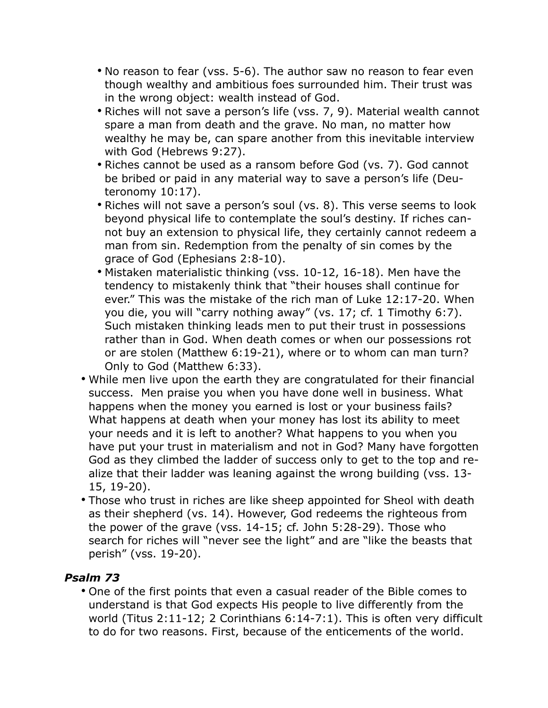- No reason to fear (vss. 5-6). The author saw no reason to fear even though wealthy and ambitious foes surrounded him. Their trust was in the wrong object: wealth instead of God.
- Riches will not save a person's life (vss. 7, 9). Material wealth cannot spare a man from death and the grave. No man, no matter how wealthy he may be, can spare another from this inevitable interview with God (Hebrews 9:27).
- Riches cannot be used as a ransom before God (vs. 7). God cannot be bribed or paid in any material way to save a person's life (Deuteronomy 10:17).
- Riches will not save a person's soul (vs. 8). This verse seems to look beyond physical life to contemplate the soul's destiny. If riches cannot buy an extension to physical life, they certainly cannot redeem a man from sin. Redemption from the penalty of sin comes by the grace of God (Ephesians 2:8-10).
- Mistaken materialistic thinking (vss. 10-12, 16-18). Men have the tendency to mistakenly think that "their houses shall continue for ever." This was the mistake of the rich man of Luke 12:17-20. When you die, you will "carry nothing away" (vs. 17; cf. 1 Timothy 6:7). Such mistaken thinking leads men to put their trust in possessions rather than in God. When death comes or when our possessions rot or are stolen (Matthew 6:19-21), where or to whom can man turn? Only to God (Matthew 6:33).
- While men live upon the earth they are congratulated for their financial success. Men praise you when you have done well in business. What happens when the money you earned is lost or your business fails? What happens at death when your money has lost its ability to meet your needs and it is left to another? What happens to you when you have put your trust in materialism and not in God? Many have forgotten God as they climbed the ladder of success only to get to the top and realize that their ladder was leaning against the wrong building (vss. 13- 15, 19-20).
- Those who trust in riches are like sheep appointed for Sheol with death as their shepherd (vs. 14). However, God redeems the righteous from the power of the grave (vss. 14-15; cf. John 5:28-29). Those who search for riches will "never see the light" and are "like the beasts that perish" (vss. 19-20).

### *Psalm 73*

• One of the first points that even a casual reader of the Bible comes to understand is that God expects His people to live differently from the world (Titus 2:11-12; 2 Corinthians 6:14-7:1). This is often very difficult to do for two reasons. First, because of the enticements of the world.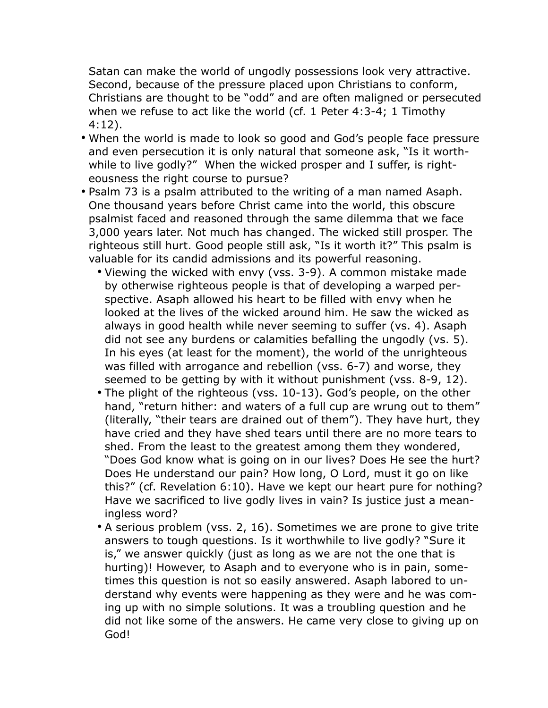Satan can make the world of ungodly possessions look very attractive. Second, because of the pressure placed upon Christians to conform, Christians are thought to be "odd" and are often maligned or persecuted when we refuse to act like the world (cf. 1 Peter 4:3-4; 1 Timothy 4:12).

- When the world is made to look so good and God's people face pressure and even persecution it is only natural that someone ask, "Is it worthwhile to live godly?" When the wicked prosper and I suffer, is righteousness the right course to pursue?
- Psalm 73 is a psalm attributed to the writing of a man named Asaph. One thousand years before Christ came into the world, this obscure psalmist faced and reasoned through the same dilemma that we face 3,000 years later. Not much has changed. The wicked still prosper. The righteous still hurt. Good people still ask, "Is it worth it?" This psalm is valuable for its candid admissions and its powerful reasoning.
	- Viewing the wicked with envy (vss. 3-9). A common mistake made by otherwise righteous people is that of developing a warped perspective. Asaph allowed his heart to be filled with envy when he looked at the lives of the wicked around him. He saw the wicked as always in good health while never seeming to suffer (vs. 4). Asaph did not see any burdens or calamities befalling the ungodly (vs. 5). In his eyes (at least for the moment), the world of the unrighteous was filled with arrogance and rebellion (vss. 6-7) and worse, they seemed to be getting by with it without punishment (vss. 8-9, 12).
	- The plight of the righteous (vss. 10-13). God's people, on the other hand, "return hither: and waters of a full cup are wrung out to them" (literally, "their tears are drained out of them"). They have hurt, they have cried and they have shed tears until there are no more tears to shed. From the least to the greatest among them they wondered, "Does God know what is going on in our lives? Does He see the hurt? Does He understand our pain? How long, O Lord, must it go on like this?" (cf. Revelation 6:10). Have we kept our heart pure for nothing? Have we sacrificed to live godly lives in vain? Is justice just a meaningless word?
	- A serious problem (vss. 2, 16). Sometimes we are prone to give trite answers to tough questions. Is it worthwhile to live godly? "Sure it is," we answer quickly (just as long as we are not the one that is hurting)! However, to Asaph and to everyone who is in pain, sometimes this question is not so easily answered. Asaph labored to understand why events were happening as they were and he was coming up with no simple solutions. It was a troubling question and he did not like some of the answers. He came very close to giving up on God!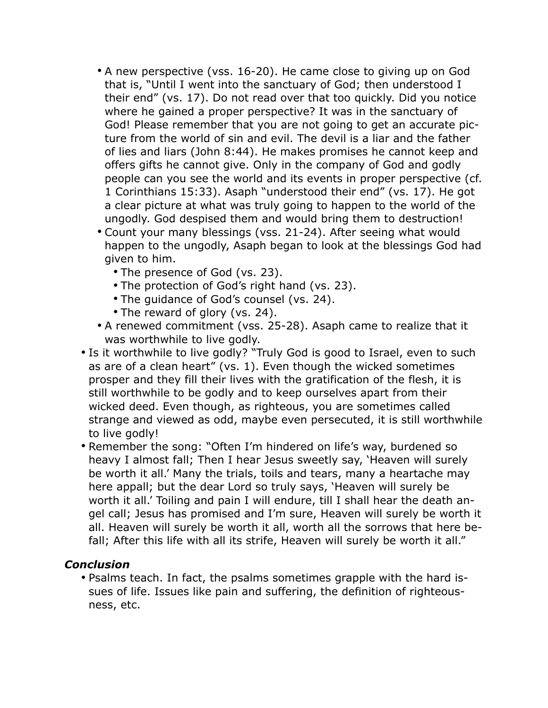- A new perspective (vss. 16-20). He came close to giving up on God that is, "Until I went into the sanctuary of God; then understood I their end" (vs. 17). Do not read over that too quickly. Did you notice where he gained a proper perspective? It was in the sanctuary of God! Please remember that you are not going to get an accurate picture from the world of sin and evil. The devil is a liar and the father of lies and liars (John 8:44). He makes promises he cannot keep and offers gifts he cannot give. Only in the company of God and godly people can you see the world and its events in proper perspective (cf. 1 Corinthians 15:33). Asaph "understood their end" (vs. 17). He got a clear picture at what was truly going to happen to the world of the ungodly. God despised them and would bring them to destruction!
- Count your many blessings (vss. 21-24). After seeing what would happen to the ungodly, Asaph began to look at the blessings God had given to him.
	- The presence of God (vs. 23).
	- The protection of God's right hand (vs. 23).
	- The guidance of God's counsel (vs. 24).
	- The reward of glory (vs. 24).
- A renewed commitment (vss. 25-28). Asaph came to realize that it was worthwhile to live godly.
- Is it worthwhile to live godly? "Truly God is good to Israel, even to such as are of a clean heart" (vs. 1). Even though the wicked sometimes prosper and they fill their lives with the gratification of the flesh, it is still worthwhile to be godly and to keep ourselves apart from their wicked deed. Even though, as righteous, you are sometimes called strange and viewed as odd, maybe even persecuted, it is still worthwhile to live godly!
- Remember the song: "Often I'm hindered on life's way, burdened so heavy I almost fall; Then I hear Jesus sweetly say, 'Heaven will surely be worth it all.' Many the trials, toils and tears, many a heartache may here appall; but the dear Lord so truly says, 'Heaven will surely be worth it all.' Toiling and pain I will endure, till I shall hear the death angel call; Jesus has promised and I'm sure, Heaven will surely be worth it all. Heaven will surely be worth it all, worth all the sorrows that here befall; After this life with all its strife, Heaven will surely be worth it all."

#### *Conclusion*

• Psalms teach. In fact, the psalms sometimes grapple with the hard issues of life. Issues like pain and suffering, the definition of righteousness, etc.